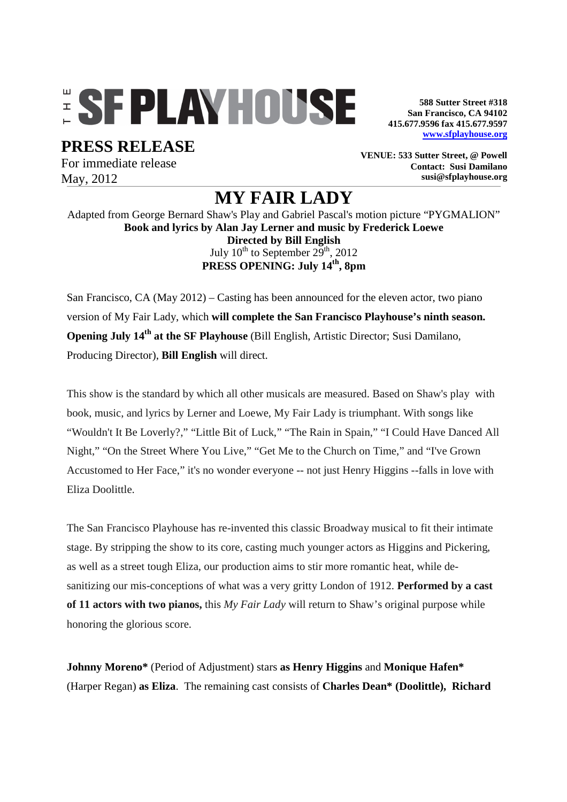## **ESFPLAYHOUSE**

**PRESS RELEASE** 

For immediate release May, 2012

**588 Sutter Street #318 San Francisco, CA 94102 415.677.9596 fax 415.677.9597 www.sfplayhouse.org**

**VENUE: 533 Sutter Street, @ Powell Contact: Susi Damilano susi@sfplayhouse.org**

## **MY FAIR LADY**

Adapted from George Bernard Shaw's Play and Gabriel Pascal's motion picture "PYGMALION" **Book and lyrics by Alan Jay Lerner and music by Frederick Loewe Directed by Bill English**  July  $10^{th}$  to September  $29^{th}$ ,  $2012$ **PRESS OPENING: July 14th, 8pm** 

San Francisco, CA (May 2012) – Casting has been announced for the eleven actor, two piano version of My Fair Lady, which **will complete the San Francisco Playhouse's ninth season. Opening July 14th at the SF Playhouse** (Bill English, Artistic Director; Susi Damilano, Producing Director), **Bill English** will direct.

This show is the standard by which all other musicals are measured. Based on Shaw's play with book, music, and lyrics by Lerner and Loewe, My Fair Lady is triumphant. With songs like "Wouldn't It Be Loverly?," "Little Bit of Luck," "The Rain in Spain," "I Could Have Danced All Night," "On the Street Where You Live," "Get Me to the Church on Time," and "I've Grown Accustomed to Her Face," it's no wonder everyone -- not just Henry Higgins --falls in love with Eliza Doolittle.

The San Francisco Playhouse has re-invented this classic Broadway musical to fit their intimate stage. By stripping the show to its core, casting much younger actors as Higgins and Pickering, as well as a street tough Eliza, our production aims to stir more romantic heat, while desanitizing our mis-conceptions of what was a very gritty London of 1912. **Performed by a cast of 11 actors with two pianos,** this *My Fair Lady* will return to Shaw's original purpose while honoring the glorious score.

**Johnny Moreno\*** (Period of Adjustment) stars **as Henry Higgins** and **Monique Hafen\***  (Harper Regan) **as Eliza**. The remaining cast consists of **Charles Dean\* (Doolittle), Richard**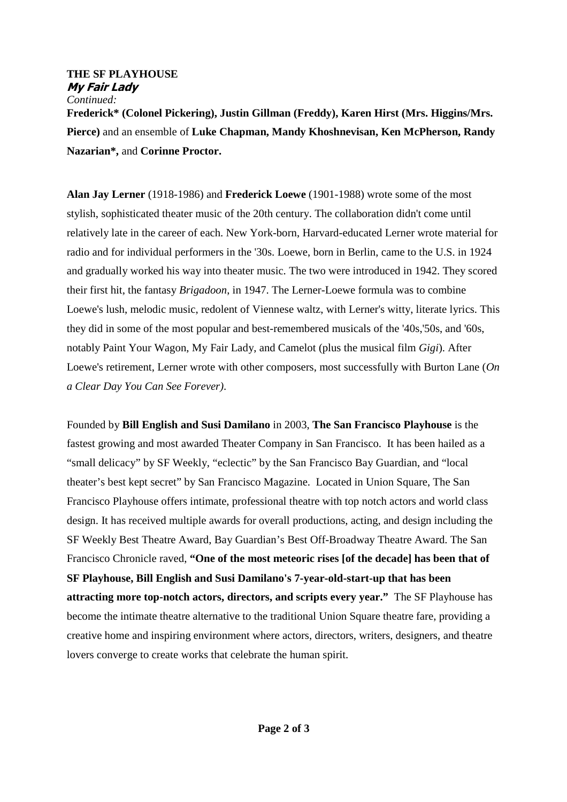## **THE SF PLAYHOUSE My Fair Lady**  *Continued:*

**Frederick\* (Colonel Pickering), Justin Gillman (Freddy), Karen Hirst (Mrs. Higgins/Mrs. Pierce)** and an ensemble of **Luke Chapman, Mandy Khoshnevisan, Ken McPherson, Randy Nazarian\*,** and **Corinne Proctor.**

**Alan Jay Lerner** (1918-1986) and **Frederick Loewe** (1901-1988) wrote some of the most stylish, sophisticated theater music of the 20th century. The collaboration didn't come until relatively late in the career of each. New York-born, Harvard-educated Lerner wrote material for radio and for individual performers in the '30s. Loewe, born in Berlin, came to the U.S. in 1924 and gradually worked his way into theater music. The two were introduced in 1942. They scored their first hit, the fantasy *Brigadoon*, in 1947. The Lerner-Loewe formula was to combine Loewe's lush, melodic music, redolent of Viennese waltz, with Lerner's witty, literate lyrics. This they did in some of the most popular and best-remembered musicals of the '40s,'50s, and '60s, notably Paint Your Wagon, My Fair Lady, and Camelot (plus the musical film *Gigi*). After Loewe's retirement, Lerner wrote with other composers, most successfully with Burton Lane (*On a Clear Day You Can See Forever)*.

Founded by **Bill English and Susi Damilano** in 2003, **The San Francisco Playhouse** is the fastest growing and most awarded Theater Company in San Francisco. It has been hailed as a "small delicacy" by SF Weekly, "eclectic" by the San Francisco Bay Guardian, and "local theater's best kept secret" by San Francisco Magazine. Located in Union Square, The San Francisco Playhouse offers intimate, professional theatre with top notch actors and world class design. It has received multiple awards for overall productions, acting, and design including the SF Weekly Best Theatre Award, Bay Guardian's Best Off-Broadway Theatre Award. The San Francisco Chronicle raved, **"One of the most meteoric rises [of the decade] has been that of SF Playhouse, Bill English and Susi Damilano's 7-year-old-start-up that has been attracting more top-notch actors, directors, and scripts every year."** The SF Playhouse has become the intimate theatre alternative to the traditional Union Square theatre fare, providing a creative home and inspiring environment where actors, directors, writers, designers, and theatre lovers converge to create works that celebrate the human spirit.